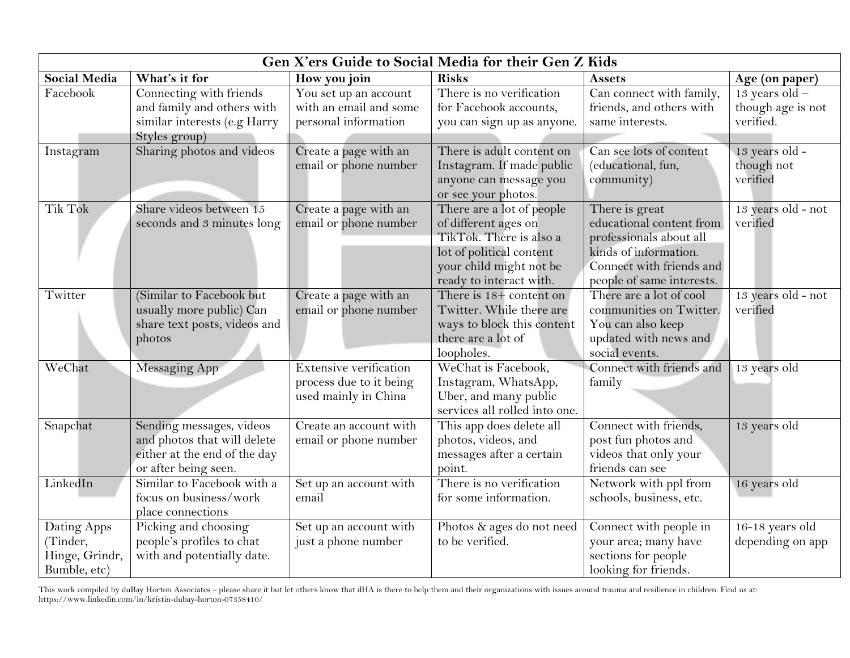| Gen X'ers Guide to Social Media for their Gen Z Kids      |                                                                                                                 |                                                                           |                                                                                                                                                                |                                                                                                                                                         |                                                    |  |
|-----------------------------------------------------------|-----------------------------------------------------------------------------------------------------------------|---------------------------------------------------------------------------|----------------------------------------------------------------------------------------------------------------------------------------------------------------|---------------------------------------------------------------------------------------------------------------------------------------------------------|----------------------------------------------------|--|
| <b>Social Media</b>                                       | What's it for                                                                                                   | How you join                                                              | <b>Risks</b>                                                                                                                                                   | <b>Assets</b>                                                                                                                                           | Age (on paper)                                     |  |
| Facebook                                                  | Connecting with friends<br>and family and others with<br>similar interests (e.g Harry<br>Styles group)          | You set up an account<br>with an email and some<br>personal information   | There is no verification<br>for Facebook accounts,<br>you can sign up as anyone.                                                                               | Can connect with family,<br>friends, and others with<br>same interests.                                                                                 | $13$ years old -<br>though age is not<br>verified. |  |
| Instagram                                                 | Sharing photos and videos                                                                                       | Create a page with an<br>email or phone number                            | There is adult content on<br>Instagram. If made public<br>anyone can message you<br>or see your photos.                                                        | Can see lots of content<br>(educational, fun,<br>community)                                                                                             | 13 years old -<br>though not<br>verified           |  |
| Tik Tok                                                   | Share videos between 15<br>seconds and 3 minutes long                                                           | Create a page with an<br>email or phone number                            | There are a lot of people<br>of different ages on<br>TikTok. There is also a<br>lot of political content<br>your child might not be<br>ready to interact with. | There is great<br>educational content from<br>professionals about all<br>kinds of information.<br>Connect with friends and<br>people of same interests. | 13 years old - not<br>verified                     |  |
| Twitter                                                   | (Similar to Facebook but<br>usually more public) Can<br>share text posts, videos and<br>photos                  | Create a page with an<br>email or phone number                            | There is 18+ content on<br>Twitter. While there are<br>ways to block this content<br>there are a lot of<br>loopholes.                                          | There are a lot of cool<br>communities on Twitter.<br>You can also keep<br>updated with news and<br>social events.                                      | 13 years old - not<br>verified                     |  |
| WeChat                                                    | <b>Messaging App</b>                                                                                            | Extensive verification<br>process due to it being<br>used mainly in China | WeChat is Facebook,<br>Instagram, WhatsApp,<br>Uber, and many public<br>services all rolled into one.                                                          | Connect with friends and<br>family                                                                                                                      | 13 years old                                       |  |
| Snapchat                                                  | Sending messages, videos<br>and photos that will delete<br>either at the end of the day<br>or after being seen. | Create an account with<br>email or phone number                           | This app does delete all<br>photos, videos, and<br>messages after a certain<br>point.                                                                          | Connect with friends,<br>post fun photos and<br>videos that only your<br>friends can see                                                                | 13 years old                                       |  |
| LinkedIn                                                  | Similar to Facebook with a<br>focus on business/work<br>place connections                                       | Set up an account with<br>email                                           | There is no verification<br>for some information.                                                                                                              | Network with ppl from<br>schools, business, etc.                                                                                                        | 16 years old                                       |  |
| Dating Apps<br>(Tinder,<br>Hinge, Grindr,<br>Bumble, etc) | Picking and choosing<br>people's profiles to chat<br>with and potentially date.                                 | Set up an account with<br>just a phone number                             | Photos & ages do not need<br>to be verified.                                                                                                                   | Connect with people in<br>your area; many have<br>sections for people<br>looking for friends.                                                           | 16-18 years old<br>depending on app                |  |

This work compiled by duBay Horton Associates – please share it but let others know that dHA is there to help them and their organizations with issues around trauma and resilience in children. Find us at: https://www.linkedin.com/in/kristin-dubay-horton-07358410/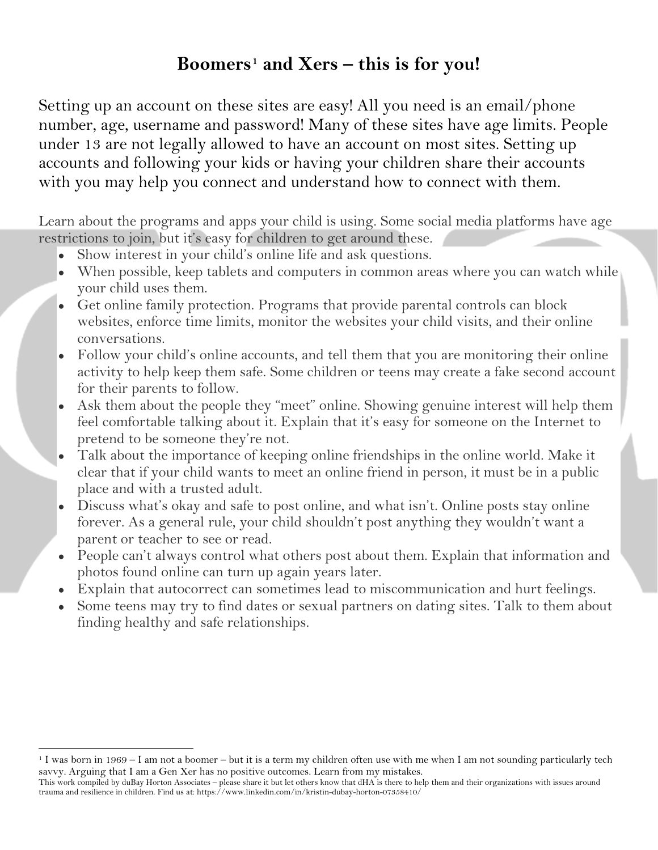## **Boomers[1](#page-1-0) and Xers – this is for you!**

Setting up an account on these sites are easy! All you need is an email/phone number, age, username and password! Many of these sites have age limits. People under 13 are not legally allowed to have an account on most sites. Setting up accounts and following your kids or having your children share their accounts with you may help you connect and understand how to connect with them.

Learn about the programs and apps your child is using. Some social media platforms have age restrictions to join, but it's easy for children to get around these.

- Show interest in your child's online life and ask questions.
- When possible, keep tablets and computers in common areas where you can watch while your child uses them.
- Get online family protection. Programs that provide parental controls can block websites, enforce time limits, monitor the websites your child visits, and their online conversations.
- Follow your child's online accounts, and tell them that you are monitoring their online activity to help keep them safe. Some children or teens may create a fake second account for their parents to follow.
- Ask them about the people they "meet" online. Showing genuine interest will help them feel comfortable talking about it. Explain that it's easy for someone on the Internet to pretend to be someone they're not.
- Talk about the importance of keeping online friendships in the online world. Make it clear that if your child wants to meet an online friend in person, it must be in a public place and with a trusted adult.
- Discuss what's okay and safe to post online, and what isn't. Online posts stay online forever. As a general rule, your child shouldn't post anything they wouldn't want a parent or teacher to see or read.
- People can't always control what others post about them. Explain that information and photos found online can turn up again years later.
- Explain that autocorrect can sometimes lead to miscommunication and hurt feelings.
- Some teens may try to find dates or sexual partners on dating sites. Talk to them about finding healthy and safe relationships.

 $\overline{\phantom{a}}$ 

<span id="page-1-0"></span><sup>1</sup> I was born in 1969 – I am not a boomer – but it is a term my children often use with me when I am not sounding particularly tech savvy. Arguing that I am a Gen Xer has no positive outcomes. Learn from my mistakes.

This work compiled by duBay Horton Associates – please share it but let others know that dHA is there to help them and their organizations with issues around trauma and resilience in children. Find us at: https://www.linkedin.com/in/kristin-dubay-horton-07358410/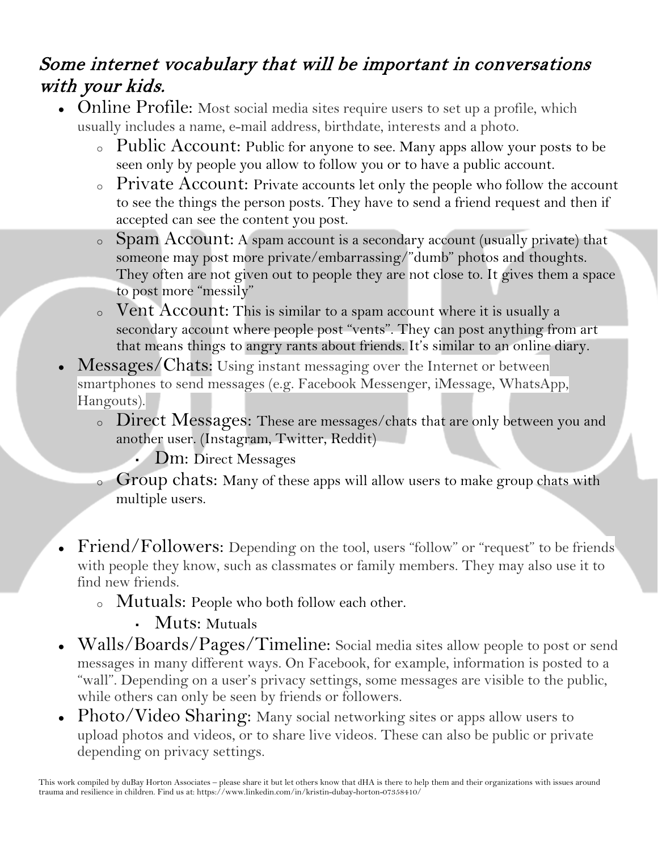## Some internet vocabulary that will be important in conversations with your kids.

- Online Profile: Most social media sites require users to set up a profile, which usually includes a name, e-mail address, birthdate, interests and a photo.
	- <sup>o</sup> Public Account: Public for anyone to see. Many apps allow your posts to be seen only by people you allow to follow you or to have a public account.
	- <sup>o</sup> Private Account: Private accounts let only the people who follow the account to see the things the person posts. They have to send a friend request and then if accepted can see the content you post.
	- <sup>o</sup> Spam Account: A spam account is a secondary account (usually private) that someone may post more private/embarrassing/"dumb" photos and thoughts. They often are not given out to people they are not close to. It gives them a space to post more "messily"
	- <sup>o</sup> Vent Account: This is similar to a spam account where it is usually a secondary account where people post "vents". They can post anything from art that means things to angry rants about friends. It's similar to an online diary.
- Messages/Chats: Using instant messaging over the Internet or between smartphones to send messages (e.g. Facebook Messenger, iMessage, WhatsApp, Hangouts).
	- <sup>o</sup> Direct Messages: These are messages/chats that are only between you and another user. (Instagram, Twitter, Reddit)
		- **Dm: Direct Messages**
	- o Group chats: Many of these apps will allow users to make group chats with multiple users.
- Friend/Followers: Depending on the tool, users "follow" or "request" to be friends with people they know, such as classmates or family members. They may also use it to find new friends.
	- <sup>o</sup> Mutuals: People who both follow each other.
		- Muts: Mutuals
- Walls/Boards/Pages/Timeline: Social media sites allow people to post or send messages in many different ways. On Facebook, for example, information is posted to a "wall". Depending on a user's privacy settings, some messages are visible to the public, while others can only be seen by friends or followers.
- Photo/Video Sharing: Many social networking sites or apps allow users to upload photos and videos, or to share live videos. These can also be public or private depending on privacy settings.